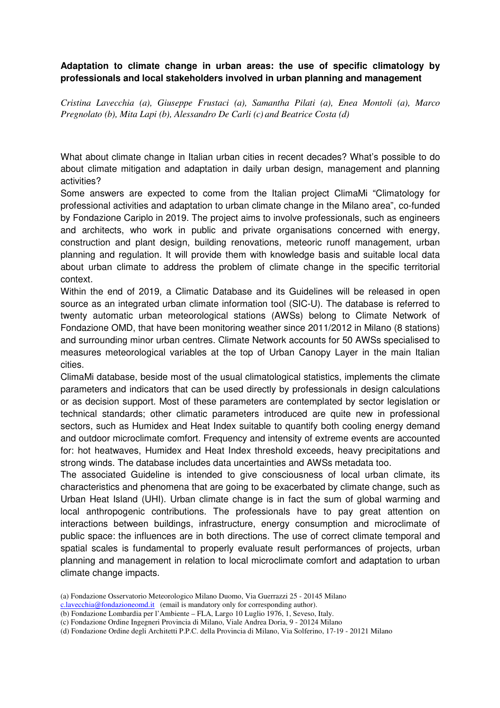## **Adaptation to climate change in urban areas: the use of specific climatology by professionals and local stakeholders involved in urban planning and management**

*Cristina Lavecchia (a), Giuseppe Frustaci (a), Samantha Pilati (a), Enea Montoli (a), Marco Pregnolato (b), Mita Lapi (b), Alessandro De Carli (c) and Beatrice Costa (d)* 

What about climate change in Italian urban cities in recent decades? What's possible to do about climate mitigation and adaptation in daily urban design, management and planning activities?

Some answers are expected to come from the Italian project ClimaMi "Climatology for professional activities and adaptation to urban climate change in the Milano area", co-funded by Fondazione Cariplo in 2019. The project aims to involve professionals, such as engineers and architects, who work in public and private organisations concerned with energy, construction and plant design, building renovations, meteoric runoff management, urban planning and regulation. It will provide them with knowledge basis and suitable local data about urban climate to address the problem of climate change in the specific territorial context.

Within the end of 2019, a Climatic Database and its Guidelines will be released in open source as an integrated urban climate information tool (SIC-U). The database is referred to twenty automatic urban meteorological stations (AWSs) belong to Climate Network of Fondazione OMD, that have been monitoring weather since 2011/2012 in Milano (8 stations) and surrounding minor urban centres. Climate Network accounts for 50 AWSs specialised to measures meteorological variables at the top of Urban Canopy Layer in the main Italian cities.

ClimaMi database, beside most of the usual climatological statistics, implements the climate parameters and indicators that can be used directly by professionals in design calculations or as decision support. Most of these parameters are contemplated by sector legislation or technical standards; other climatic parameters introduced are quite new in professional sectors, such as Humidex and Heat Index suitable to quantify both cooling energy demand and outdoor microclimate comfort. Frequency and intensity of extreme events are accounted for: hot heatwaves, Humidex and Heat Index threshold exceeds, heavy precipitations and strong winds. The database includes data uncertainties and AWSs metadata too.

The associated Guideline is intended to give consciousness of local urban climate, its characteristics and phenomena that are going to be exacerbated by climate change, such as Urban Heat Island (UHI). Urban climate change is in fact the sum of global warming and local anthropogenic contributions. The professionals have to pay great attention on interactions between buildings, infrastructure, energy consumption and microclimate of public space: the influences are in both directions. The use of correct climate temporal and spatial scales is fundamental to properly evaluate result performances of projects, urban planning and management in relation to local microclimate comfort and adaptation to urban climate change impacts.

(b) Fondazione Lombardia per l'Ambiente – FLA, Largo 10 Luglio 1976, 1, Seveso, Italy.

- (c) Fondazione Ordine Ingegneri Provincia di Milano, Viale Andrea Doria, 9 20124 Milano
- (d) Fondazione Ordine degli Architetti P.P.C. della Provincia di Milano, Via Solferino, 17-19 20121 Milano

<sup>(</sup>a) Fondazione Osservatorio Meteorologico Milano Duomo, Via Guerrazzi 25 - 20145 Milano  $c$ .lavecchia@fondazioneomd.it (email is mandatory only for corresponding author).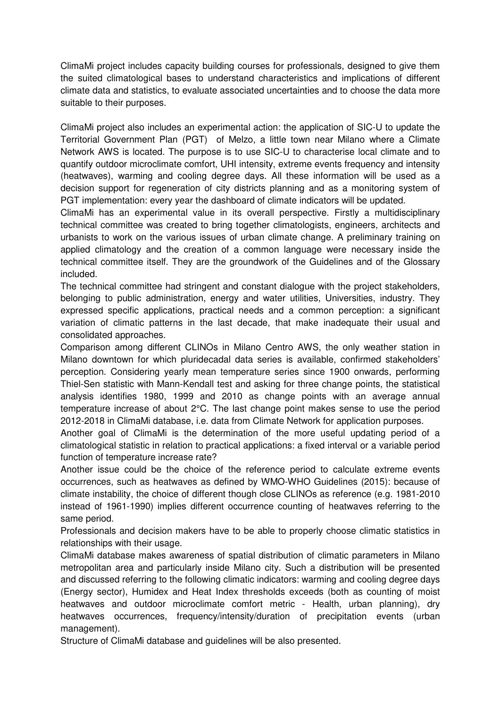ClimaMi project includes capacity building courses for professionals, designed to give them the suited climatological bases to understand characteristics and implications of different climate data and statistics, to evaluate associated uncertainties and to choose the data more suitable to their purposes.

ClimaMi project also includes an experimental action: the application of SIC-U to update the Territorial Government Plan (PGT) of Melzo, a little town near Milano where a Climate Network AWS is located. The purpose is to use SIC-U to characterise local climate and to quantify outdoor microclimate comfort, UHI intensity, extreme events frequency and intensity (heatwaves), warming and cooling degree days. All these information will be used as a decision support for regeneration of city districts planning and as a monitoring system of PGT implementation: every year the dashboard of climate indicators will be updated.

ClimaMi has an experimental value in its overall perspective. Firstly a multidisciplinary technical committee was created to bring together climatologists, engineers, architects and urbanists to work on the various issues of urban climate change. A preliminary training on applied climatology and the creation of a common language were necessary inside the technical committee itself. They are the groundwork of the Guidelines and of the Glossary included.

The technical committee had stringent and constant dialogue with the project stakeholders, belonging to public administration, energy and water utilities, Universities, industry. They expressed specific applications, practical needs and a common perception: a significant variation of climatic patterns in the last decade, that make inadequate their usual and consolidated approaches.

Comparison among different CLINOs in Milano Centro AWS, the only weather station in Milano downtown for which pluridecadal data series is available, confirmed stakeholders' perception. Considering yearly mean temperature series since 1900 onwards, performing Thiel-Sen statistic with Mann-Kendall test and asking for three change points, the statistical analysis identifies 1980, 1999 and 2010 as change points with an average annual temperature increase of about 2°C. The last change point makes sense to use the period 2012-2018 in ClimaMi database, i.e. data from Climate Network for application purposes.

Another goal of ClimaMi is the determination of the more useful updating period of a climatological statistic in relation to practical applications: a fixed interval or a variable period function of temperature increase rate?

Another issue could be the choice of the reference period to calculate extreme events occurrences, such as heatwaves as defined by WMO-WHO Guidelines (2015): because of climate instability, the choice of different though close CLINOs as reference (e.g. 1981-2010 instead of 1961-1990) implies different occurrence counting of heatwaves referring to the same period.

Professionals and decision makers have to be able to properly choose climatic statistics in relationships with their usage.

ClimaMi database makes awareness of spatial distribution of climatic parameters in Milano metropolitan area and particularly inside Milano city. Such a distribution will be presented and discussed referring to the following climatic indicators: warming and cooling degree days (Energy sector), Humidex and Heat Index thresholds exceeds (both as counting of moist heatwaves and outdoor microclimate comfort metric - Health, urban planning), dry heatwaves occurrences, frequency/intensity/duration of precipitation events (urban management).

Structure of ClimaMi database and guidelines will be also presented.